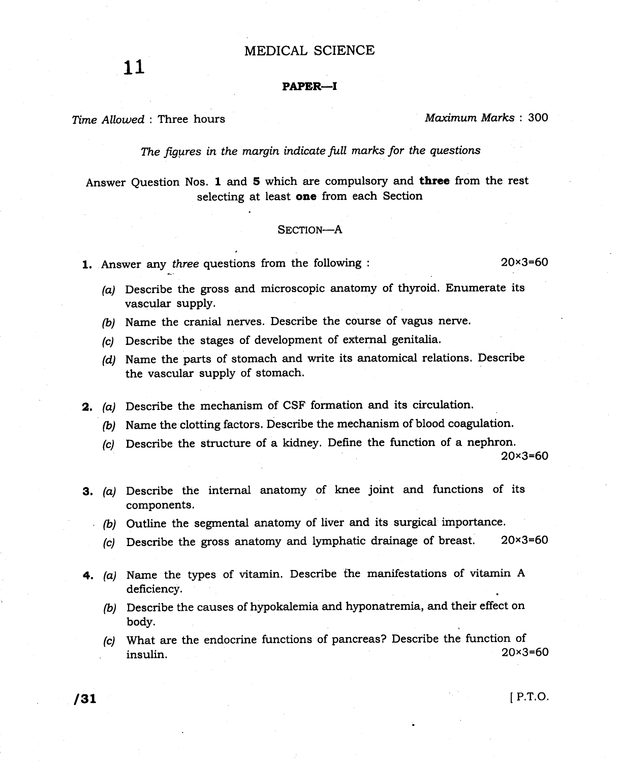## MEDICAL SCIENCE

## PAPER-I

Time Allowed : Three hours Maximum Marks : 300

The figures in the margin indicate full marks for the questions

Answer Question Nos. 1 and 5 which are compulsory and three from the rest selecting at least one from each Section

### SECTION-A

**1.** Answer any *three* questions from the following  $\cdot$  20x3=60

- (a) Describe the gross and microscopic anatomy of thyroid. Enumerate its vascular supply.
- (b) Name the cranial nerves. Describe the course of vagus nerve.
- (c) Describe the stages of development of external genitalia.
- (d) Name the parts of stomach and write its anatomical relations. Describe the vascular supply of stomach.
- 2, (a) Describe the mechanism of CSF formation and its circulation.
	- (b) Name the clotting factors. Describe the mechanism of blood coagulation.
	- (c) Describe the structure of a kidney. Define the function of a nephron.

20x3=60

- 3. (a) Describe the internal anatomy of knee joint and functions of its components.
	- $(b)$  Outline the segmental anatomy of liver and its surgical importance.
		- (c) Describe the gross anatomy and lymphatic drainage of breast.  $20 \times 3 = 60$
- 4. (a) Name the types of vitamin. Describe the manifestations of vitamin A deficiency.
	- (b) Describe the causes of hypokalemia and hyponatremia, and their effect on body.
	- (c) What are the endocrine functions of pancreas? Describe the function of insulin  $20 \times 3 = 60$  $20 \times 3 = 60$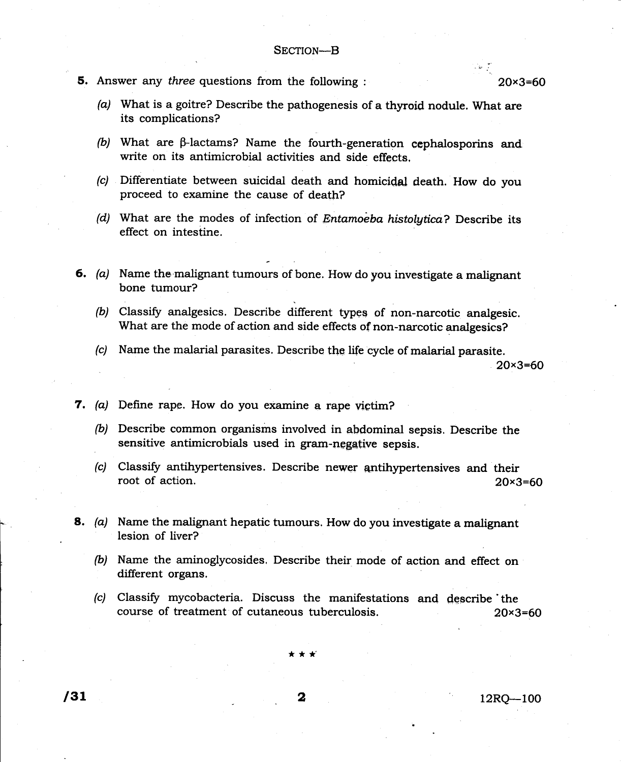**5.** Answer any *three* questions from the following :  $20 \times 3 = 60$ 

.

 $\label{eq:1} \mathcal{L}(\mathbf{r}) = \frac{1}{\sqrt{2}} \mathcal{L}(\mathbf{r})$ 

- (a) What is a goitre? Describe the pathogenesis of a thyroid nodule. What are its complications?
- (b) What are  $\beta$ -lactams? Name the fourth-generation cephalosporins and write on its antimicrobial activities and side effects,
- (c) Differentiate between suicidal death and homicidal death. How do you proceed to examine the cause of death?
- (d) What are the modes of infection of Entamoeba histolytica? Describe its effect on intestine.
- 6. (a) Name the malignant tumours of bone. How do you investigate a malignant bone tumour?
	- $(b)$  Classify analgesics. Describe different types of non-narcotic analgesic. What are the mode of action and side effects of non-narcotic analgesics?
	- (c) Name the malarial parasites. Describe the life cycle of malarial parasite.

20x3=60

- 7. (a) Define rape. How do you examine a rape victim?
	- (b) Describe common organisms involved in abdominal sepsis. Describe the sensitive antimicrobials used in gram-negative sepsis.
	- (c) Classify antihypertensives. Describe newer antihypertensives and their root of action.  $20 \times 3=60$

8. (a) Name the malignant hepatic tumours. How do you investigate a malignant lesion of liver?

- (b) Name the aminoglycosides. Describe their mode of action and effect on different organs.
- (c) Classify mycobacteria. Discuss the manifestations and describe the course of treatment of cutaneous tuberculosis. 20x3=60

\*\*\*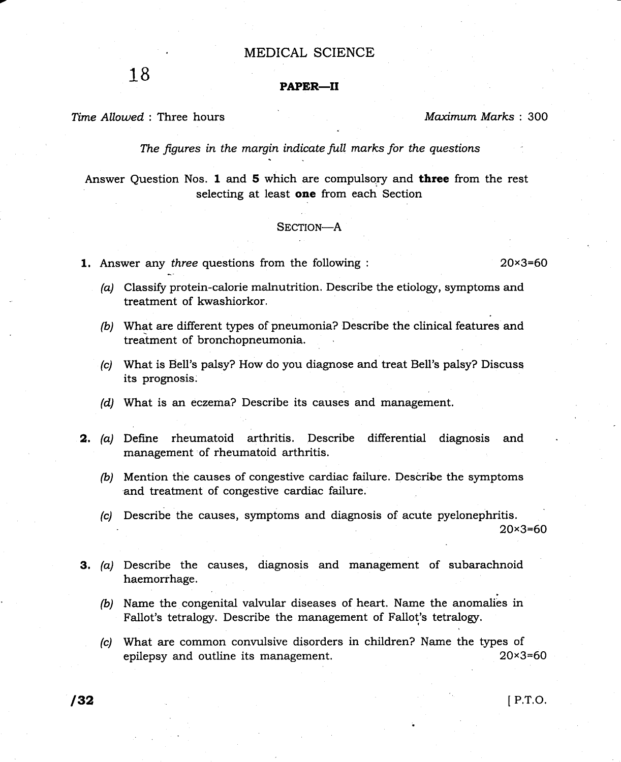## . MEDICAL SCIENCE

# $18$  PAPER-II

Time Allowed : Three hours and the material method of the Maximum Marks : 300

The figures in the margin indicate full marks for the questions

Answer Question Nos. 1 and 5 which are compulsory and **three** from the rest selecting at least one from each Section

## SECTION-A

**1.** Answer any *three* questions from the following : 20x3=60

- $(a)$  Classify protein-calorie malnutrition. Describe the etiology, symptoms and treatment of kwashiorkor.
- (b) What are different types of pneumonia? Describe the clinical features and treatment of bronchopneumonia.
- (c) What is Bell's palsy? How do you diagnose and treat Bell's palsy? Discusq its prognosis.
- (d) What is an eczema? Describe its causes and management.
- 2. (a) Define rheumatoid arthritis. Describe differential diagnosis and management of rheumatoid arthritis.
	- (b) Mention the causes of congestive cardiac failure. Describe the symptoms and treatment of congestive cardiac failure.
	- (c) Describe the causes, symptoms and diagnosis of acute pyelonephritis . 20x3=60
- 3. (a) Describe the causes, diagnosis and management of subarachnoid haemorrhage.
	- (b) Name the congenital valvular diseases of heart. Name the anomalies in Fallot's tetralogy. Describe the management of Fallot's tetralogy.
	- (c) What are common convulsive disorders in children? Name the types of epilepsy and outline its management. 20x3=60